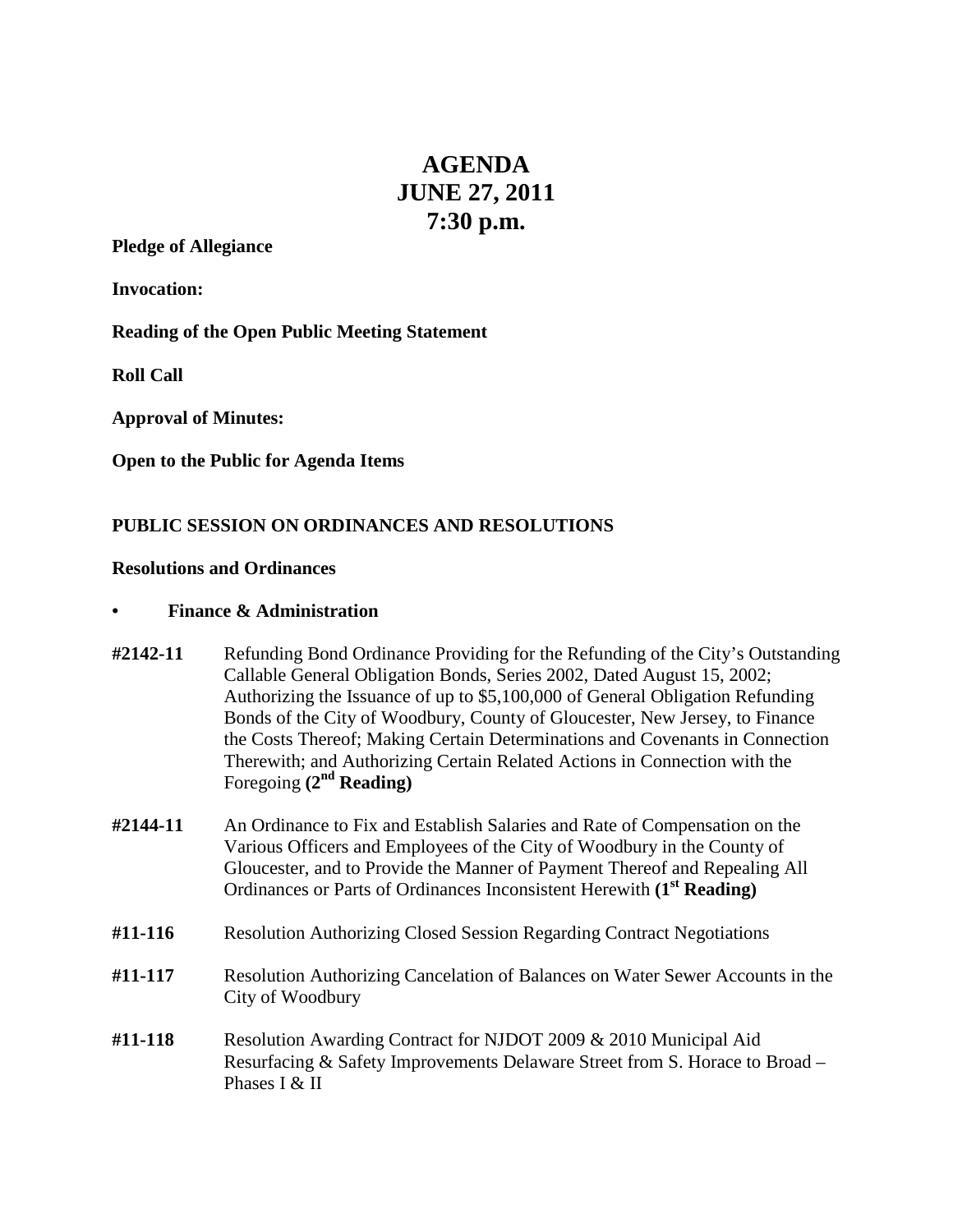# **AGENDA JUNE 27, 2011 7:30 p.m.**

## **Pledge of Allegiance**

**Invocation:**

**Reading of the Open Public Meeting Statement**

**Roll Call**

**Approval of Minutes:**

**Open to the Public for Agenda Items**

# **PUBLIC SESSION ON ORDINANCES AND RESOLUTIONS**

## **Resolutions and Ordinances**

## **• Finance & Administration**

- **#2142-11** Refunding Bond Ordinance Providing for the Refunding of the City's Outstanding Callable General Obligation Bonds, Series 2002, Dated August 15, 2002; Authorizing the Issuance of up to \$5,100,000 of General Obligation Refunding Bonds of the City of Woodbury, County of Gloucester, New Jersey, to Finance the Costs Thereof; Making Certain Determinations and Covenants in Connection Therewith; and Authorizing Certain Related Actions in Connection with the Foregoing **(2nd Reading)**
- **#2144-11** An Ordinance to Fix and Establish Salaries and Rate of Compensation on the Various Officers and Employees of the City of Woodbury in the County of Gloucester, and to Provide the Manner of Payment Thereof and Repealing All Ordinances or Parts of Ordinances Inconsistent Herewith **(1st Reading)**
- **#11-116** Resolution Authorizing Closed Session Regarding Contract Negotiations
- **#11-117** Resolution Authorizing Cancelation of Balances on Water Sewer Accounts in the City of Woodbury
- **#11-118** Resolution Awarding Contract for NJDOT 2009 & 2010 Municipal Aid Resurfacing & Safety Improvements Delaware Street from S. Horace to Broad – Phases I & II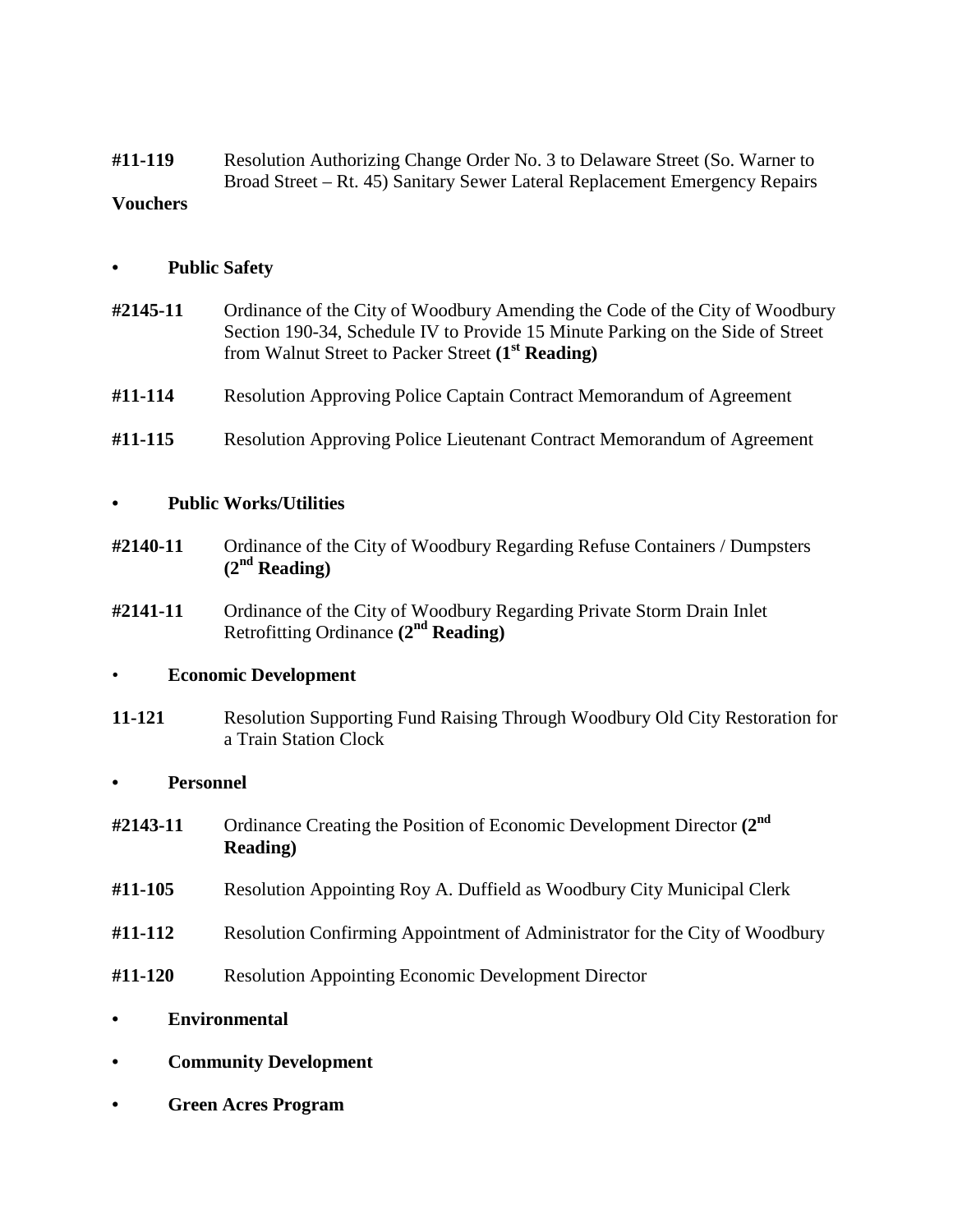**#11-119** Resolution Authorizing Change Order No. 3 to Delaware Street (So. Warner to Broad Street – Rt. 45) Sanitary Sewer Lateral Replacement Emergency Repairs **Vouchers**

# **• Public Safety**

- **#2145-11** Ordinance of the City of Woodbury Amending the Code of the City of Woodbury Section 190-34, Schedule IV to Provide 15 Minute Parking on the Side of Street from Walnut Street to Packer Street **(1st Reading)**
- **#11-114** Resolution Approving Police Captain Contract Memorandum of Agreement
- **#11-115** Resolution Approving Police Lieutenant Contract Memorandum of Agreement

# **• Public Works/Utilities**

- **#2140-11** Ordinance of the City of Woodbury Regarding Refuse Containers / Dumpsters **(2nd Reading)**
- **#2141-11** Ordinance of the City of Woodbury Regarding Private Storm Drain Inlet Retrofitting Ordinance **(2nd Reading)**

## • **Economic Development**

**11-121** Resolution Supporting Fund Raising Through Woodbury Old City Restoration for a Train Station Clock

## **• Personnel**

- **#2143-11** Ordinance Creating the Position of Economic Development Director **(2nd Reading)**
- **#11-105** Resolution Appointing Roy A. Duffield as Woodbury City Municipal Clerk
- **#11-112** Resolution Confirming Appointment of Administrator for the City of Woodbury
- **#11-120** Resolution Appointing Economic Development Director
- **• Environmental**
- **• Community Development**
- **• Green Acres Program**